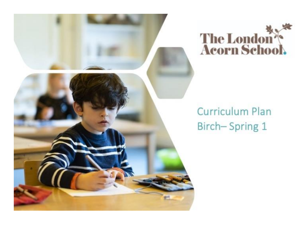



# **Curriculum Plan** Birch-Spring 1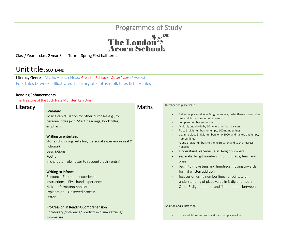

Class/ Year class 2 year 3 Term Spring First half term

## Unit title : SCOTLAND

Literacy Genres Myths – Loch Ness: Grendel [Babcock], *David Lucas* (2 weeks) Folk Tales (3 weeks) Illustrated Treasury of Scottish folk tales & fairy tales

### Reading Enhancements

The Treasure of the Loch Ness Monster, Lari Don

| Literacy | Grammar                                                                                                                                                                                                                                                                                                                                                                                                                                                                               | <b>Maths</b> | Number and place value                                                                                                                                                                                                                                                                                                                                                                                                                                                                                                                                                                                                                                                                                                                                                                                                                                                                                                   |
|----------|---------------------------------------------------------------------------------------------------------------------------------------------------------------------------------------------------------------------------------------------------------------------------------------------------------------------------------------------------------------------------------------------------------------------------------------------------------------------------------------|--------------|--------------------------------------------------------------------------------------------------------------------------------------------------------------------------------------------------------------------------------------------------------------------------------------------------------------------------------------------------------------------------------------------------------------------------------------------------------------------------------------------------------------------------------------------------------------------------------------------------------------------------------------------------------------------------------------------------------------------------------------------------------------------------------------------------------------------------------------------------------------------------------------------------------------------------|
|          | To use capitalisation for other purposes e.g., for<br>personal titles (Mr, Miss), headings, book titles,<br>emphasis.<br>Writing to entertain:<br>Stories (Including re-telling, personal experiences real &<br>fictional)<br>Descriptions<br>Poetry<br>In character role (letter to recount / dairy entry)<br>Writing to inform:<br>Recount - First-hand experience<br>Instructions - First-hand experience<br>NCR - Information booklet<br>Explanation - Observed process<br>Letter |              | Rehearse place value in 3-digit numbers, order them on a number<br>line and find a number in between<br>compare number sentences<br>$\overline{\phantom{a}}$<br>Multiply and divide by 10 (whole number answers)<br>$\overline{\phantom{a}}$<br>Place 3-digit numbers on empty 100 number lines<br>begin to place 3-digit numbers on 0-1000 landmarked and empty<br>$\overline{\phantom{a}}$<br>number lines<br>round 3-digit numbers to the nearest ten and to the nearest<br>hundred<br>Understand place-value in 3-digit numbers<br>$\overline{\phantom{m}}$<br>separate 3-digit numbers into hundreds, tens, and<br>ones<br>begin to move tens and hundreds moving towards<br>$\overline{\phantom{m}}$<br>formal written addition<br>focuses on using number lines to facilitate an<br>understanding of place value in 3-digit numbers<br>Order 3-digit numbers and find numbers between<br>$\overline{\phantom{m}}$ |
|          | Progression in Reading Comprehension<br>Vocabulary /Inference/ predict/ explain/ retrieve/<br>summarise                                                                                                                                                                                                                                                                                                                                                                               |              | Addition and subtraction<br>solve additions and subtractions using place value                                                                                                                                                                                                                                                                                                                                                                                                                                                                                                                                                                                                                                                                                                                                                                                                                                           |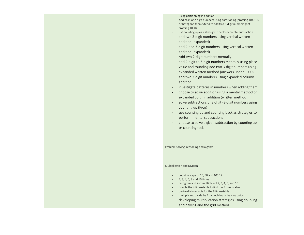- using partitioning in addition
- Add pairs of 2-digit numbers using partitioning (crossing 10s, 100 or both) and then extend to add two 3-digit numbers (not crossing 1000)
- use counting up as a strategy to perform mental subtraction
- add two 3-digit numbers using vertical written addition (expanded)
- add 2-and 3-digit numbers using vertical written addition (expanded)
- Add two 2-digit numbers mentally
- add 2-digit to 3-digit numbers mentally using place value and rounding add two 3-digit numbers using expanded written method (answers under 1000)
- add two 3-digit numbers using expanded column addition
- investigate patterns in numbers when adding them
- choose to solve addition using a mental method or expanded column addition (written method)
- solve subtractions of 3-digit -3-digit numbers using counting up (Frog)
- use counting up and counting back as strategies to perform mental subtractions
- choose to solve a given subtraction by counting up or countingback

Problem solving, reasoning and algebra

#### Multiplication and Division

- count in steps of 10, 50 and 100.12
- 2, 3, 4, 5, 8 and 10 times
- recognise and sort multiples of 2, 3, 4, 5, and 10
- double the 4 times-table to find the 8 times-table
- derive division facts for the 8 times-table
- multiply and divide by 4 by doubling or halving twice
- developing multiplication strategies using doubling and halving and the grid method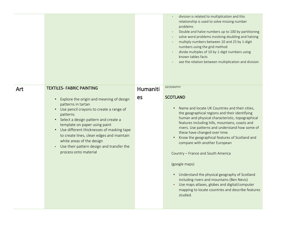|     |                                                                                                                                                                                                                                                                                                                                                                                                                                                                                       |                | division is related to multiplication and this<br>relationship is used to solve missing number<br>problems<br>Double and halve numbers up to 100 by partitioning<br>$\overline{\phantom{a}}$<br>solve word problems involving doubling and halving<br>multiply numbers between 10 and 25 by 1-digit<br>numbers using the grid method<br>divide multiples of 10 by 1-digit numbers using<br>known tables facts<br>see the relation between multiplication and division                                                                                                                                                                                                                           |
|-----|---------------------------------------------------------------------------------------------------------------------------------------------------------------------------------------------------------------------------------------------------------------------------------------------------------------------------------------------------------------------------------------------------------------------------------------------------------------------------------------|----------------|-------------------------------------------------------------------------------------------------------------------------------------------------------------------------------------------------------------------------------------------------------------------------------------------------------------------------------------------------------------------------------------------------------------------------------------------------------------------------------------------------------------------------------------------------------------------------------------------------------------------------------------------------------------------------------------------------|
| Art | <b>TEXTILES- FABRIC PAINTING</b><br>Explore the origin and meaning of design<br>$\bullet$<br>patterns in tartan<br>Use pencil crayons to create a range of<br>$\bullet$<br>patterns<br>• Select a design pattern and create a<br>template on paper using paint<br>Use different thicknesses of masking tape<br>$\bullet$<br>to create lines, clean edges and maintain<br>white areas of the design<br>Use their pattern design and transfer the<br>$\bullet$<br>process onto material | Humaniti<br>es | <b>GEOGRAPHY</b><br><b>SCOTLAND</b><br>Name and locate UK Countries and their cities,<br>the geographical regions and their identifying<br>human and physical characteristic, topographical<br>features including hills, mountains, coasts and<br>rivers. Use patterns and understand how some of<br>these have changed over time.<br>Know the geographical features of Scotland and<br>compare with another European<br>Country - France and South America<br>(google maps)<br>• Understand the physical geography of Scotland<br>including rivers and mountains (Ben Nevis)<br>Use maps atlases, globes and digital/computer<br>mapping to locate countries and describe features<br>studied. |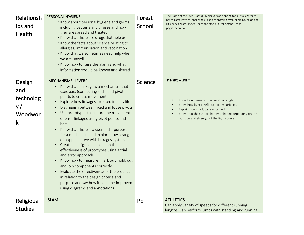| Relationsh             | <b>PERSONAL HYGIENE</b><br>• Know about personal hygiene and germs                                                                                                                                                                                                                                                                                                                                                                                                                                                                                                                                                                                    | Forest    | The Name of the Tree (Bantu) I D cleavers as a spring tonic. Make wreath-<br>based rafts. Physical challenges : explore crossing river, climbing, balancing. |
|------------------------|-------------------------------------------------------------------------------------------------------------------------------------------------------------------------------------------------------------------------------------------------------------------------------------------------------------------------------------------------------------------------------------------------------------------------------------------------------------------------------------------------------------------------------------------------------------------------------------------------------------------------------------------------------|-----------|--------------------------------------------------------------------------------------------------------------------------------------------------------------|
| ips and                | including bacteria and viruses and how                                                                                                                                                                                                                                                                                                                                                                                                                                                                                                                                                                                                                | School    | ID leeches, water mites. Learn the stop-cut, for notches/tent<br>pegs/decoration.                                                                            |
| Health                 | they are spread and treated<br>. Know that there are drugs that help us<br>• Know the facts about science relating to<br>allergies, immunisation and vaccination<br>. Know that we sometimes need help when<br>we are unwell<br>. Know how to raise the alarm and what<br>information should be known and shared                                                                                                                                                                                                                                                                                                                                      |           |                                                                                                                                                              |
| Design                 | <b>MECHANISMS-LEVERS</b><br>Know that a linkage is a mechanism that<br>$\bullet$                                                                                                                                                                                                                                                                                                                                                                                                                                                                                                                                                                      | Science   | <b>PHYSICS - LIGHT</b>                                                                                                                                       |
| and                    | uses bars (connecting rods) and pivot                                                                                                                                                                                                                                                                                                                                                                                                                                                                                                                                                                                                                 |           |                                                                                                                                                              |
| technolog              | points to create movement<br>Explore how linkages are used in daily life<br>$\bullet$                                                                                                                                                                                                                                                                                                                                                                                                                                                                                                                                                                 |           | Know how seasonal change affects light.                                                                                                                      |
| y/                     | Distinguish between fixed and loose pivots                                                                                                                                                                                                                                                                                                                                                                                                                                                                                                                                                                                                            |           | Know how light is reflected from surfaces.<br>Explain how shadows are formed.                                                                                |
| Woodwor<br>$\mathsf k$ | Use prototypes to explore the movement<br>$\bullet$<br>of basic linkages using pivot points and<br>bars<br>Know that there is a user and a purpose<br>$\bullet$<br>for a mechanism and explore how a range<br>of puppets move with linkages systems<br>Create a design idea based on the<br>$\bullet$<br>effectiveness of prototypes using a trial<br>and error approach<br>Know how to measure, mark out, hold, cut<br>$\bullet$<br>and join components correctly<br>Evaluate the effectiveness of the product<br>$\bullet$<br>in relation to the design criteria and<br>purpose and say how it could be improved<br>using diagrams and annotations. |           | Know that the size of shadows change depending on the<br>position and strength of the light source.                                                          |
| Religious              | <b>ISLAM</b>                                                                                                                                                                                                                                                                                                                                                                                                                                                                                                                                                                                                                                          | <b>PE</b> | <b>ATHLETICS</b><br>Can apply variety of speeds for different running                                                                                        |
| <b>Studies</b>         |                                                                                                                                                                                                                                                                                                                                                                                                                                                                                                                                                                                                                                                       |           | lengths. Can perform jumps with standing and running                                                                                                         |